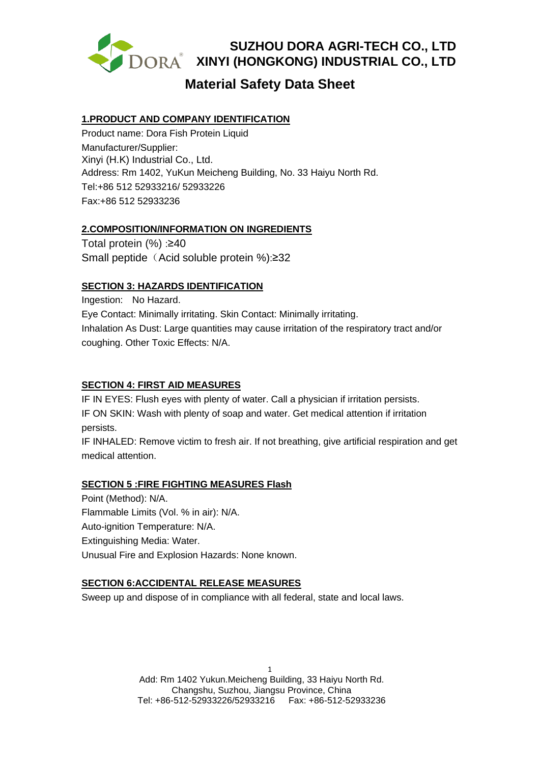

**SUZHOU DORA AGRI-TECH CO., LTD XINYI (HONGKONG) INDUSTRIAL CO., LTD**

# **Material Safety Data Sheet**

## **1.PRODUCT AND COMPANY IDENTIFICATION**

Product name: Dora Fish Protein Liquid Manufacturer/Supplier: Xinyi (H.K) Industrial Co., Ltd. Address: Rm 1402, YuKun Meicheng Building, No. 33 Haiyu North Rd. Tel:+86 512 52933216/ 52933226 Fax:+86 512 52933236

#### **2.COMPOSITION/INFORMATION ON INGREDIENTS**

Total protein (%) :≥40 Small peptide (Acid soluble protein %):≥32

#### **SECTION 3: HAZARDS IDENTIFICATION**

Ingestion: No Hazard. Eye Contact: Minimally irritating. Skin Contact: Minimally irritating. Inhalation As Dust: Large quantities may cause irritation of the respiratory tract and/or coughing. Other Toxic Effects: N/A.

#### **SECTION 4: FIRST AID MEASURES**

IF IN EYES: Flush eyes with plenty of water. Call a physician if irritation persists. IF ON SKIN: Wash with plenty of soap and water. Get medical attention if irritation persists.

IF INHALED: Remove victim to fresh air. If not breathing, give artificial respiration and get medical attention.

#### **SECTION 5 :FIRE FIGHTING MEASURES Flash**

Point (Method): N/A. Flammable Limits (Vol. % in air): N/A. Auto-ignition Temperature: N/A. Extinguishing Media: Water. Unusual Fire and Explosion Hazards: None known.

#### **SECTION 6:ACCIDENTAL RELEASE MEASURES**

Sweep up and dispose of in compliance with all federal, state and local laws.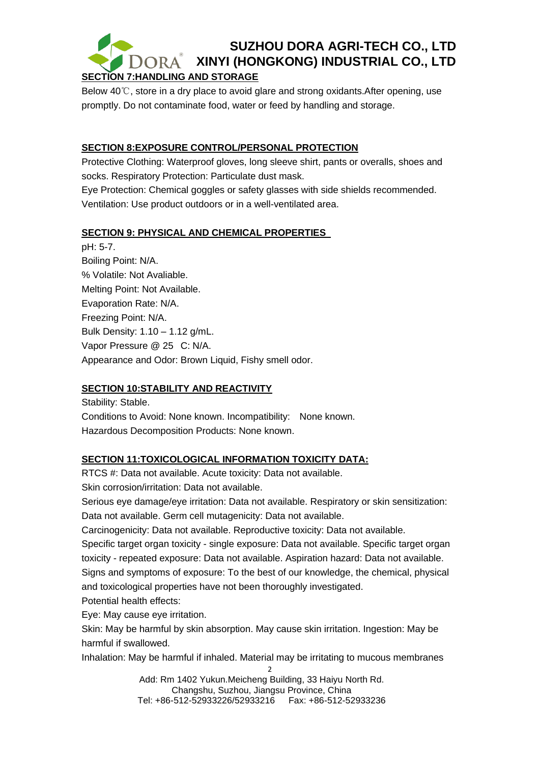

# **SUZHOU DORA AGRI-TECH CO., LTD XINYI (HONGKONG) INDUSTRIAL CO., LTD**

# **SECTION 7:HANDLING AND STORAGE**

Below 40℃, store in a dry place to avoid glare and strong oxidants.After opening, use promptly. Do not contaminate food, water or feed by handling and storage.

## **SECTION 8:EXPOSURE CONTROL/PERSONAL PROTECTION**

Protective Clothing: Waterproof gloves, long sleeve shirt, pants or overalls, shoes and socks. Respiratory Protection: Particulate dust mask.

Eye Protection: Chemical goggles or safety glasses with side shields recommended. Ventilation: Use product outdoors or in a well-ventilated area.

# **SECTION 9: PHYSICAL AND CHEMICAL PROPERTIES**

pH: 5-7. Boiling Point: N/A. % Volatile: Not Avaliable. Melting Point: Not Available. Evaporation Rate: N/A. Freezing Point: N/A. Bulk Density: 1.10 – 1.12 g/mL. Vapor Pressure @ 25 C: N/A. Appearance and Odor: Brown Liquid, Fishy smell odor.

## **SECTION 10:STABILITY AND REACTIVITY**

Stability: Stable. Conditions to Avoid: None known. Incompatibility: None known. Hazardous Decomposition Products: None known.

## **SECTION 11:TOXICOLOGICAL INFORMATION TOXICITY DATA:**

RTCS #: Data not available. Acute toxicity: Data not available. Skin corrosion/irritation: Data not available.

Serious eye damage/eye irritation: Data not available. Respiratory or skin sensitization: Data not available. Germ cell mutagenicity: Data not available.

Carcinogenicity: Data not available. Reproductive toxicity: Data not available.

Specific target organ toxicity - single exposure: Data not available. Specific target organ toxicity - repeated exposure: Data not available. Aspiration hazard: Data not available. Signs and symptoms of exposure: To the best of our knowledge, the chemical, physical and toxicological properties have not been thoroughly investigated.

Potential health effects:

Eye: May cause eye irritation.

Skin: May be harmful by skin absorption. May cause skin irritation. Ingestion: May be harmful if swallowed.

Inhalation: May be harmful if inhaled. Material may be irritating to mucous membranes

Add: Rm 1402 Yukun.Meicheng Building, 33 Haiyu North Rd. Changshu, Suzhou, Jiangsu Province, China Tel: +86-512-52933226/52933216 Fax: +86-512-52933236 2